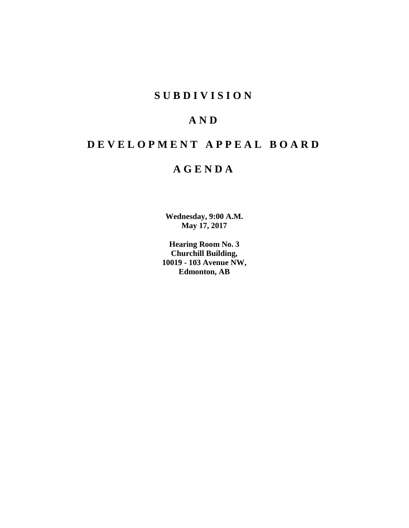# **SUBDIVISION**

# **AND**

# **DEVELOPMENT APPEAL BOARD**

# **AGENDA**

**Wednesday, 9:00 A.M. May 17, 2017**

**Hearing Room No. 3 Churchill Building, 10019 - 103 Avenue NW, Edmonton, AB**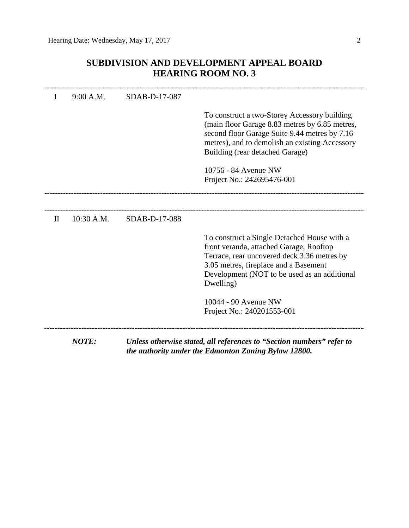# **SUBDIVISION AND DEVELOPMENT APPEAL BOARD HEARING ROOM NO. 3**

|              | 9:00 A.M.  | SDAB-D-17-087 |                                                                                                                                                                                                                                             |
|--------------|------------|---------------|---------------------------------------------------------------------------------------------------------------------------------------------------------------------------------------------------------------------------------------------|
|              |            |               | To construct a two-Storey Accessory building<br>(main floor Garage 8.83 metres by 6.85 metres,<br>second floor Garage Suite 9.44 metres by 7.16<br>metres), and to demolish an existing Accessory<br>Building (rear detached Garage)        |
|              |            |               | 10756 - 84 Avenue NW<br>Project No.: 242695476-001                                                                                                                                                                                          |
|              |            |               |                                                                                                                                                                                                                                             |
| $\mathbf{I}$ | 10:30 A.M. | SDAB-D-17-088 |                                                                                                                                                                                                                                             |
|              |            |               | To construct a Single Detached House with a<br>front veranda, attached Garage, Rooftop<br>Terrace, rear uncovered deck 3.36 metres by<br>3.05 metres, fireplace and a Basement<br>Development (NOT to be used as an additional<br>Dwelling) |
|              |            |               | 10044 - 90 Avenue NW<br>Project No.: 240201553-001                                                                                                                                                                                          |
|              | NOTE:      |               | Unless otherwise stated, all references to "Section numbers" refer to<br>the authority under the Edmonton Zoning Bylaw 12800.                                                                                                               |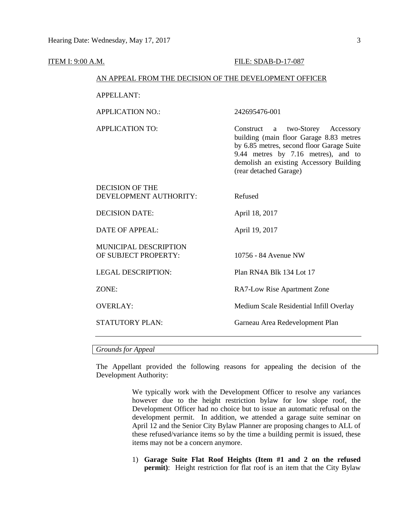#### **ITEM I: 9:00 A.M. FILE: SDAB-D-17-087**

## AN APPEAL FROM THE DECISION OF THE DEVELOPMENT OFFICER

APPELLANT:

APPLICATION NO.: 242695476-001

APPLICATION TO: Construct a two-Storey Accessory building (main floor Garage 8.83 metres by 6.85 metres, second floor Garage Suite 9.44 metres by 7.16 metres), and to demolish an existing Accessory Building (rear detached Garage)

| <b>DECISION OF THE</b><br>DEVELOPMENT AUTHORITY:     | Refused                                 |
|------------------------------------------------------|-----------------------------------------|
| <b>DECISION DATE:</b>                                | April 18, 2017                          |
| <b>DATE OF APPEAL:</b>                               | April 19, 2017                          |
| <b>MUNICIPAL DESCRIPTION</b><br>OF SUBJECT PROPERTY: | 10756 - 84 Avenue NW                    |
| <b>LEGAL DESCRIPTION:</b>                            | Plan RN4A Blk 134 Lot 17                |
| ZONE:                                                | RA7-Low Rise Apartment Zone             |
| <b>OVERLAY:</b>                                      | Medium Scale Residential Infill Overlay |
| <b>STATUTORY PLAN:</b>                               | Garneau Area Redevelopment Plan         |

*Grounds for Appeal*

The Appellant provided the following reasons for appealing the decision of the Development Authority:

> We typically work with the Development Officer to resolve any variances however due to the height restriction bylaw for low slope roof, the Development Officer had no choice but to issue an automatic refusal on the development permit. In addition, we attended a garage suite seminar on April 12 and the Senior City Bylaw Planner are proposing changes to ALL of these refused/variance items so by the time a building permit is issued, these items may not be a concern anymore.

> 1) **Garage Suite Flat Roof Heights (Item #1 and 2 on the refused permit**): Height restriction for flat roof is an item that the City Bylaw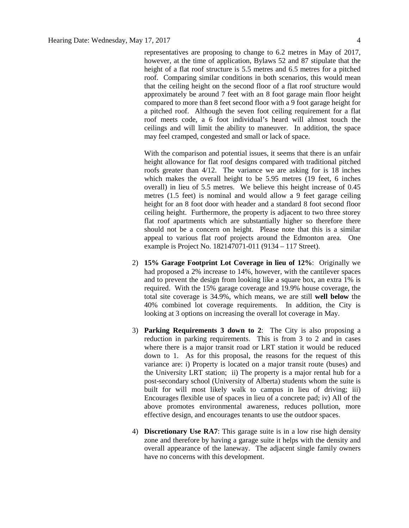representatives are proposing to change to 6.2 metres in May of 2017, however, at the time of application, Bylaws 52 and 87 stipulate that the height of a flat roof structure is 5.5 metres and 6.5 metres for a pitched roof. Comparing similar conditions in both scenarios, this would mean that the ceiling height on the second floor of a flat roof structure would approximately be around 7 feet with an 8 foot garage main floor height compared to more than 8 feet second floor with a 9 foot garage height for a pitched roof. Although the seven foot ceiling requirement for a flat roof meets code, a 6 foot individual's heard will almost touch the ceilings and will limit the ability to maneuver. In addition, the space may feel cramped, congested and small or lack of space.

With the comparison and potential issues, it seems that there is an unfair height allowance for flat roof designs compared with traditional pitched roofs greater than 4/12. The variance we are asking for is 18 inches which makes the overall height to be 5.95 metres (19 feet, 6 inches overall) in lieu of 5.5 metres. We believe this height increase of 0.45 metres (1.5 feet) is nominal and would allow a 9 feet garage ceiling height for an 8 foot door with header and a standard 8 foot second floor ceiling height. Furthermore, the property is adjacent to two three storey flat roof apartments which are substantially higher so therefore there should not be a concern on height. Please note that this is a similar appeal to various flat roof projects around the Edmonton area. One example is Project No. 182147071-011 (9134 – 117 Street).

- 2) **15% Garage Footprint Lot Coverage in lieu of 12%**: Originally we had proposed a 2% increase to 14%, however, with the cantilever spaces and to prevent the design from looking like a square box, an extra 1% is required. With the 15% garage coverage and 19.9% house coverage, the total site coverage is 34.9%, which means, we are still **well below** the 40% combined lot coverage requirements. In addition, the City is looking at 3 options on increasing the overall lot coverage in May.
- 3) **Parking Requirements 3 down to 2**: The City is also proposing a reduction in parking requirements. This is from 3 to 2 and in cases where there is a major transit road or LRT station it would be reduced down to 1. As for this proposal, the reasons for the request of this variance are: i) Property is located on a major transit route (buses) and the University LRT station; ii) The property is a major rental hub for a post-secondary school (University of Alberta) students whom the suite is built for will most likely walk to campus in lieu of driving; iii) Encourages flexible use of spaces in lieu of a concrete pad; iv) All of the above promotes environmental awareness, reduces pollution, more effective design, and encourages tenants to use the outdoor spaces.
- 4) **Discretionary Use RA7**: This garage suite is in a low rise high density zone and therefore by having a garage suite it helps with the density and overall appearance of the laneway. The adjacent single family owners have no concerns with this development.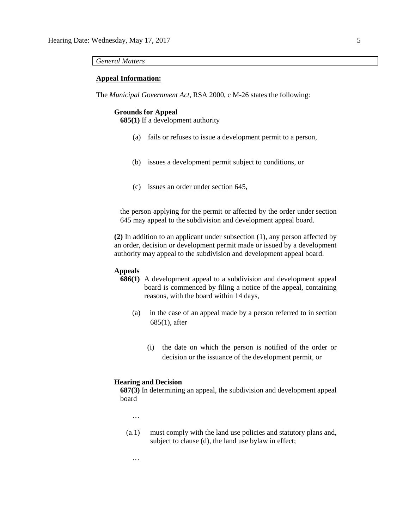#### *General Matters*

## **Appeal Information:**

The *Municipal Government Act*, RSA 2000, c M-26 states the following:

#### **Grounds for Appeal**

**685(1)** If a development authority

- (a) fails or refuses to issue a development permit to a person,
- (b) issues a development permit subject to conditions, or
- (c) issues an order under section 645,

the person applying for the permit or affected by the order under section 645 may appeal to the subdivision and development appeal board.

**(2)** In addition to an applicant under subsection (1), any person affected by an order, decision or development permit made or issued by a development authority may appeal to the subdivision and development appeal board.

## **Appeals**

- **686(1)** A development appeal to a subdivision and development appeal board is commenced by filing a notice of the appeal, containing reasons, with the board within 14 days,
	- (a) in the case of an appeal made by a person referred to in section 685(1), after
		- (i) the date on which the person is notified of the order or decision or the issuance of the development permit, or

#### **Hearing and Decision**

**687(3)** In determining an appeal, the subdivision and development appeal board

…

…

(a.1) must comply with the land use policies and statutory plans and, subject to clause (d), the land use bylaw in effect;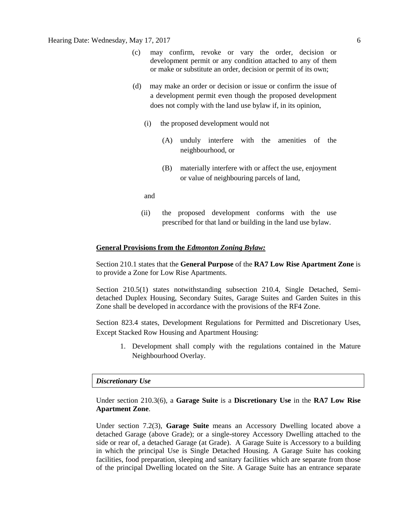- (c) may confirm, revoke or vary the order, decision or development permit or any condition attached to any of them or make or substitute an order, decision or permit of its own;
- (d) may make an order or decision or issue or confirm the issue of a development permit even though the proposed development does not comply with the land use bylaw if, in its opinion,
	- (i) the proposed development would not
		- (A) unduly interfere with the amenities of the neighbourhood, or
		- (B) materially interfere with or affect the use, enjoyment or value of neighbouring parcels of land,

and

(ii) the proposed development conforms with the use prescribed for that land or building in the land use bylaw.

#### **General Provisions from the** *Edmonton Zoning Bylaw:*

Section 210.1 states that the **General Purpose** of the **RA7 Low Rise Apartment Zone** is to provide a Zone for Low Rise Apartments.

Section 210.5(1) states notwithstanding subsection 210.4, Single Detached, Semidetached Duplex Housing, Secondary Suites, Garage Suites and Garden Suites in this Zone shall be developed in accordance with the provisions of the RF4 Zone.

Section 823.4 states, Development Regulations for Permitted and Discretionary Uses, Except Stacked Row Housing and Apartment Housing:

1. Development shall comply with the regulations contained in the Mature Neighbourhood Overlay.

#### *Discretionary Use*

Under section 210.3(6), a **Garage Suite** is a **Discretionary Use** in the **RA7 Low Rise Apartment Zone**.

Under section 7.2(3), **Garage Suite** means an Accessory Dwelling located above a detached Garage (above Grade); or a single-storey Accessory Dwelling attached to the side or rear of, a detached Garage (at Grade). A Garage Suite is Accessory to a building in which the principal Use is Single Detached Housing. A Garage Suite has cooking facilities, food preparation, sleeping and sanitary facilities which are separate from those of the principal Dwelling located on the Site. A Garage Suite has an entrance separate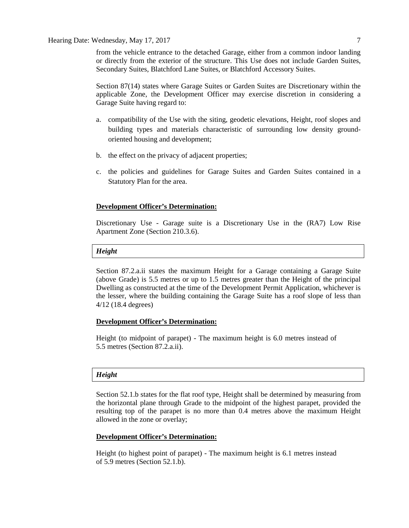Hearing Date: Wednesday, May 17, 2017 7

from the vehicle entrance to the detached Garage, either from a common indoor landing or directly from the exterior of the structure. This Use does not include Garden Suites, Secondary Suites, Blatchford Lane Suites, or Blatchford Accessory Suites.

Section 87(14) states where Garage Suites or Garden Suites are Discretionary within the applicable Zone, the Development Officer may exercise discretion in considering a Garage Suite having regard to:

- a. compatibility of the Use with the siting, geodetic elevations, Height, roof slopes and building types and materials characteristic of surrounding low density groundoriented housing and development;
- b. the effect on the privacy of adjacent properties;
- c. the policies and guidelines for Garage Suites and Garden Suites contained in a Statutory Plan for the area.

#### **Development Officer's Determination:**

Discretionary Use - Garage suite is a Discretionary Use in the (RA7) Low Rise Apartment Zone (Section 210.3.6).

#### *Height*

Section 87.2.a.ii states the maximum Height for a Garage containing a Garage Suite (above Grade) is 5.5 metres or up to 1.5 metres greater than the Height of the principal Dwelling as constructed at the time of the Development Permit Application, whichever is the lesser, where the building containing the Garage Suite has a roof slope of less than 4/12 (18.4 degrees)

## **Development Officer's Determination:**

Height (to midpoint of parapet) - The maximum height is 6.0 metres instead of 5.5 metres (Section 87.2.a.ii).

# *Height*

Section 52.1.b states for the flat roof type, Height shall be determined by measuring from the horizontal plane through Grade to the midpoint of the highest parapet, provided the resulting top of the parapet is no more than 0.4 metres above the maximum Height allowed in the zone or overlay;

## **Development Officer's Determination:**

Height (to highest point of parapet) - The maximum height is 6.1 metres instead of 5.9 metres (Section 52.1.b).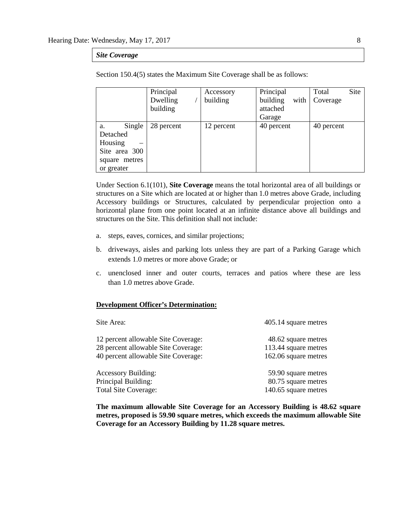#### *Site Coverage*

|               | Principal  | Accessory  | Principal        | Site<br>Total |
|---------------|------------|------------|------------------|---------------|
|               | Dwelling   | building   | with<br>building | Coverage      |
|               | building   |            | attached         |               |
|               |            |            | Garage           |               |
| Single<br>a.  | 28 percent | 12 percent | 40 percent       | 40 percent    |
| Detached      |            |            |                  |               |
| Housing       |            |            |                  |               |
| Site area 300 |            |            |                  |               |
| square metres |            |            |                  |               |
| or greater    |            |            |                  |               |

Section 150.4(5) states the Maximum Site Coverage shall be as follows:

Under Section 6.1(101), **Site Coverage** means the total horizontal area of all buildings or structures on a Site which are located at or higher than 1.0 metres above Grade, including Accessory buildings or Structures, calculated by perpendicular projection onto a horizontal plane from one point located at an infinite distance above all buildings and structures on the Site. This definition shall not include:

- a. steps, eaves, cornices, and similar projections;
- b. driveways, aisles and parking lots unless they are part of a Parking Garage which extends [1.0](javascript:void(0);) metres or more above Grade; or
- c. unenclosed inner and outer courts, terraces and patios where these are less than [1.0](javascript:void(0);) metres above Grade.

#### **Development Officer's Determination:**

| Site Area:                          | 405.14 square metres |
|-------------------------------------|----------------------|
| 12 percent allowable Site Coverage: | 48.62 square metres  |
| 28 percent allowable Site Coverage: | 113.44 square metres |
| 40 percent allowable Site Coverage: | 162.06 square metres |
| <b>Accessory Building:</b>          | 59.90 square metres  |
| Principal Building:                 | 80.75 square metres  |
| <b>Total Site Coverage:</b>         | 140.65 square metres |

**The maximum allowable Site Coverage for an Accessory Building is 48.62 square metres, proposed is 59.90 square metres, which exceeds the maximum allowable Site Coverage for an Accessory Building by 11.28 square metres.**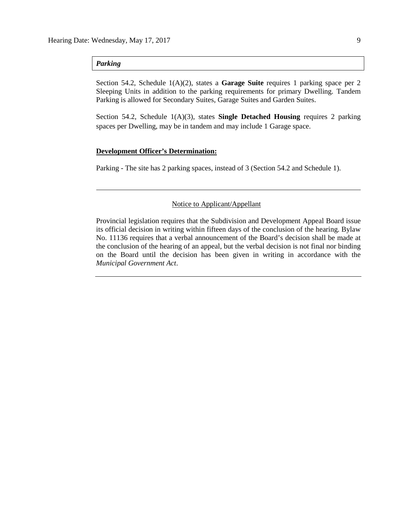# *Parking*

Section 54.2, Schedule 1(A)(2), states a **Garage Suite** requires 1 parking space per 2 Sleeping Units in addition to the parking requirements for primary Dwelling. Tandem Parking is allowed for Secondary Suites, Garage Suites and Garden Suites.

Section 54.2, Schedule 1(A)(3), states **Single Detached Housing** requires 2 parking spaces per Dwelling, may be in tandem and may include 1 Garage space.

## **Development Officer's Determination:**

Parking - The site has 2 parking spaces, instead of 3 (Section 54.2 and Schedule 1).

# Notice to Applicant/Appellant

Provincial legislation requires that the Subdivision and Development Appeal Board issue its official decision in writing within fifteen days of the conclusion of the hearing. Bylaw No. 11136 requires that a verbal announcement of the Board's decision shall be made at the conclusion of the hearing of an appeal, but the verbal decision is not final nor binding on the Board until the decision has been given in writing in accordance with the *Municipal Government Act*.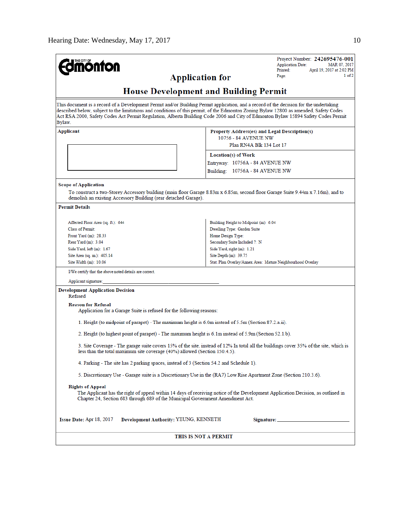| <b>mönton</b>                                                                                                                                                                                                                                                                                                                                                                                                                   |                                                                                         | Project Number: 242695476-001<br><b>Application Date:</b><br>MAR 07, 2017 |  |  |  |
|---------------------------------------------------------------------------------------------------------------------------------------------------------------------------------------------------------------------------------------------------------------------------------------------------------------------------------------------------------------------------------------------------------------------------------|-----------------------------------------------------------------------------------------|---------------------------------------------------------------------------|--|--|--|
|                                                                                                                                                                                                                                                                                                                                                                                                                                 |                                                                                         | Printed:<br>April 19, 2017 at 2:02 PM                                     |  |  |  |
| <b>Application for</b>                                                                                                                                                                                                                                                                                                                                                                                                          |                                                                                         | 1 of 2<br>Page:                                                           |  |  |  |
| <b>House Development and Building Permit</b>                                                                                                                                                                                                                                                                                                                                                                                    |                                                                                         |                                                                           |  |  |  |
| This document is a record of a Development Permit and/or Building Permit application, and a record of the decision for the undertaking<br>described below, subject to the limitations and conditions of this permit, of the Edmonton Zoning Bylaw 12800 as amended, Safety Codes<br>Act RSA 2000, Safety Codes Act Permit Regulation, Alberta Building Code 2006 and City of Edmonton Bylaw 15894 Safety Codes Permit<br>Bylaw. |                                                                                         |                                                                           |  |  |  |
| Applicant                                                                                                                                                                                                                                                                                                                                                                                                                       | Property Address(es) and Legal Description(s)                                           |                                                                           |  |  |  |
|                                                                                                                                                                                                                                                                                                                                                                                                                                 | 10756 - 84 AVENUE NW                                                                    |                                                                           |  |  |  |
|                                                                                                                                                                                                                                                                                                                                                                                                                                 | Plan RN4A Blk 134 Lot 17                                                                |                                                                           |  |  |  |
|                                                                                                                                                                                                                                                                                                                                                                                                                                 | Location(s) of Work                                                                     |                                                                           |  |  |  |
|                                                                                                                                                                                                                                                                                                                                                                                                                                 |                                                                                         |                                                                           |  |  |  |
|                                                                                                                                                                                                                                                                                                                                                                                                                                 | Entryway: 10756A - 84 AVENUE NW                                                         |                                                                           |  |  |  |
|                                                                                                                                                                                                                                                                                                                                                                                                                                 | Building: 10756A - 84 AVENUE NW                                                         |                                                                           |  |  |  |
| Scope of Application                                                                                                                                                                                                                                                                                                                                                                                                            |                                                                                         |                                                                           |  |  |  |
| To construct a two-Storey Accessory building (main floor Garage 8.83m x 6.85m, second floor Garage Suite 9.44m x 7.16m), and to<br>demolish an existing Accessory Building (rear detached Garage).                                                                                                                                                                                                                              |                                                                                         |                                                                           |  |  |  |
| <b>Permit Details</b>                                                                                                                                                                                                                                                                                                                                                                                                           |                                                                                         |                                                                           |  |  |  |
| Affected Floor Area (sq. ft.): 644                                                                                                                                                                                                                                                                                                                                                                                              | Building Height to Midpoint (m): 6.04                                                   |                                                                           |  |  |  |
| <b>Class of Permit:</b>                                                                                                                                                                                                                                                                                                                                                                                                         | Dwelling Type: Garden Suite                                                             |                                                                           |  |  |  |
| Front Yard (m): 28.33                                                                                                                                                                                                                                                                                                                                                                                                           | Home Design Type:                                                                       |                                                                           |  |  |  |
| Rear Yard (m): 3.04                                                                                                                                                                                                                                                                                                                                                                                                             | Secondary Suite Included ?: N                                                           |                                                                           |  |  |  |
| Side Yard, left (m): 1.67                                                                                                                                                                                                                                                                                                                                                                                                       | Side Yard, right (m): 1.21                                                              |                                                                           |  |  |  |
| Site Area (sq. m.): 405.14                                                                                                                                                                                                                                                                                                                                                                                                      | Site Depth $(m)$ : 39.75                                                                |                                                                           |  |  |  |
| Site Width (m): 10.06                                                                                                                                                                                                                                                                                                                                                                                                           | Stat. Plan Overlay/Annex Area: Mature Neighbourhood Overlay                             |                                                                           |  |  |  |
| I/We certify that the above noted details are correct.                                                                                                                                                                                                                                                                                                                                                                          |                                                                                         |                                                                           |  |  |  |
| Applicant signature:                                                                                                                                                                                                                                                                                                                                                                                                            |                                                                                         |                                                                           |  |  |  |
| <b>Development Application Decision</b><br>Refused                                                                                                                                                                                                                                                                                                                                                                              |                                                                                         |                                                                           |  |  |  |
| <b>Reason for Refusal</b>                                                                                                                                                                                                                                                                                                                                                                                                       |                                                                                         |                                                                           |  |  |  |
| Application for a Garage Suite is refused for the following reasons:                                                                                                                                                                                                                                                                                                                                                            |                                                                                         |                                                                           |  |  |  |
| 1. Height (to midpoint of parapet) - The maximum height is 6.0m instead of 5.5m (Section 87.2.a.ii).                                                                                                                                                                                                                                                                                                                            |                                                                                         |                                                                           |  |  |  |
| 2. Height (to highest point of parapet) - The maximum height is 6.1m instead of 5.9m (Section 52.1.b).                                                                                                                                                                                                                                                                                                                          |                                                                                         |                                                                           |  |  |  |
| 3. Site Coverage - The garage suite covers 15% of the site, instead of 12% In total all the buildings cover 35% of the site, which is<br>less than the total maximum site coverage (40%) allowed (Section 150.4.5).                                                                                                                                                                                                             |                                                                                         |                                                                           |  |  |  |
|                                                                                                                                                                                                                                                                                                                                                                                                                                 | 4. Parking - The site has 2 parking spaces, instead of 3 (Section 54.2 and Schedule 1). |                                                                           |  |  |  |
| 5. Discretionary Use - Garage suite is a Discretionary Use in the (RA7) Low Rise Apartment Zone (Section 210.3.6).                                                                                                                                                                                                                                                                                                              |                                                                                         |                                                                           |  |  |  |
| <b>Rights of Appeal</b><br>The Applicant has the right of appeal within 14 days of receiving notice of the Development Application Decision, as outlined in<br>Chapter 24, Section 683 through 689 of the Municipal Government Amendment Act.                                                                                                                                                                                   |                                                                                         |                                                                           |  |  |  |
| Issue Date: Apr 18, 2017<br>Development Authority: YEUNG, KENNETH                                                                                                                                                                                                                                                                                                                                                               |                                                                                         |                                                                           |  |  |  |
| THIS IS NOT A PERMIT                                                                                                                                                                                                                                                                                                                                                                                                            |                                                                                         |                                                                           |  |  |  |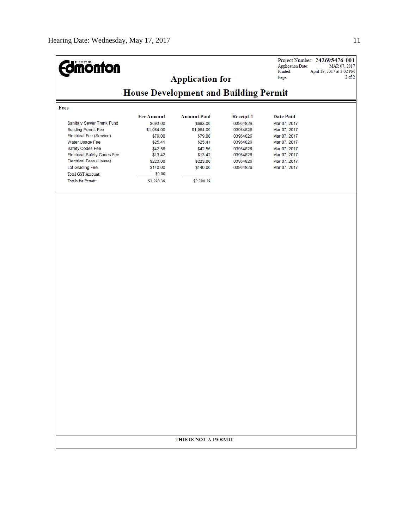| <b>mónton</b>                                |                   | <b>Application for</b> |          | <b>Application Date:</b><br>Printed:<br>Page: | Project Number: 242695476-001<br>MAR 07, 2017<br>April 19, 2017 at 2:02 PM<br>$2$ of $2$ |  |
|----------------------------------------------|-------------------|------------------------|----------|-----------------------------------------------|------------------------------------------------------------------------------------------|--|
| <b>House Development and Building Permit</b> |                   |                        |          |                                               |                                                                                          |  |
| Fees                                         |                   |                        |          |                                               |                                                                                          |  |
|                                              | <b>Fee Amount</b> | <b>Amount Paid</b>     | Receipt# | <b>Date Paid</b>                              |                                                                                          |  |
| Sanitary Sewer Trunk Fund                    | \$693.00          | \$693.00               | 03964826 | Mar 07, 2017                                  |                                                                                          |  |
| <b>Building Permit Fee</b>                   | \$1,064.00        | \$1,064.00             | 03964826 | Mar 07, 2017                                  |                                                                                          |  |
| Electrical Fee (Service)                     | \$79.00           | \$79.00                | 03964826 | Mar 07, 2017                                  |                                                                                          |  |
| Water Usage Fee                              | \$25.41           | \$25.41                | 03964826 | Mar 07, 2017                                  |                                                                                          |  |
| Safety Codes Fee                             | \$42.56           | \$42.56                | 03964826 | Mar 07, 2017                                  |                                                                                          |  |
| <b>Electrical Safety Codes Fee</b>           | \$13.42           | \$13.42                | 03964826 | Mar 07, 2017                                  |                                                                                          |  |
| <b>Electrical Fees (House)</b>               | \$223.00          | \$223.00               | 03964826 | Mar 07, 2017                                  |                                                                                          |  |
| Lot Grading Fee                              | \$140.00          | \$140.00               | 03964826 | Mar 07, 2017                                  |                                                                                          |  |
| <b>Total GST Amount:</b>                     | \$0.00            |                        |          |                                               |                                                                                          |  |
| <b>Totals for Permit:</b>                    | \$2,280.39        | \$2,280.39             |          |                                               |                                                                                          |  |
|                                              |                   |                        |          |                                               |                                                                                          |  |
|                                              |                   |                        |          |                                               |                                                                                          |  |
|                                              |                   | THIS IS NOT A PERMIT   |          |                                               |                                                                                          |  |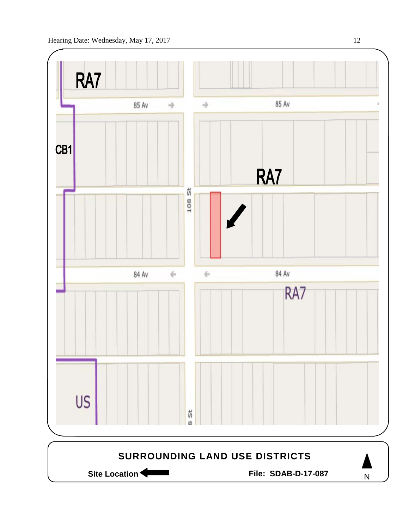

Site Location **Community Contract Contract Contract Contract Contract Contract Contract Contract Contract Contract Contract Contract Contract Contract Contract Contract Contract Contract Contract Contract Contract Contract** 

N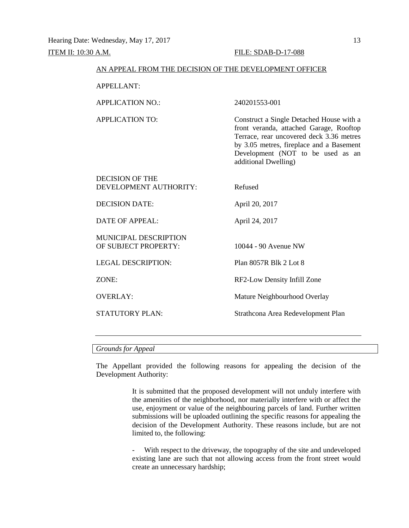#### AN APPEAL FROM THE DECISION OF THE DEVELOPMENT OFFICER

APPELLANT:

APPLICATION NO.: 240201553-001

APPLICATION TO: Construct a Single Detached House with a front veranda, attached Garage, Rooftop Terrace, rear uncovered deck 3.36 metres by 3.05 metres, fireplace and a Basement Development (NOT to be used as an additional Dwelling)

| <b>DECISION OF THE</b><br>DEVELOPMENT AUTHORITY: | Refused                            |
|--------------------------------------------------|------------------------------------|
| <b>DECISION DATE:</b>                            | April 20, 2017                     |
| <b>DATE OF APPEAL:</b>                           | April 24, 2017                     |
| MUNICIPAL DESCRIPTION<br>OF SUBJECT PROPERTY:    | 10044 - 90 Avenue NW               |
| <b>LEGAL DESCRIPTION:</b>                        | Plan 8057R Blk 2 Lot 8             |
| ZONE:                                            | RF2-Low Density Infill Zone        |
| <b>OVERLAY:</b>                                  | Mature Neighbourhood Overlay       |
| <b>STATUTORY PLAN:</b>                           | Strathcona Area Redevelopment Plan |
|                                                  |                                    |

#### *Grounds for Appeal*

The Appellant provided the following reasons for appealing the decision of the Development Authority:

> It is submitted that the proposed development will not unduly interfere with the amenities of the neighborhood, nor materially interfere with or affect the use, enjoyment or value of the neighbouring parcels of land. Further written submissions will be uploaded outlining the specific reasons for appealing the decision of the Development Authority. These reasons include, but are not limited to, the following:

> With respect to the driveway, the topography of the site and undeveloped existing lane are such that not allowing access from the front street would create an unnecessary hardship;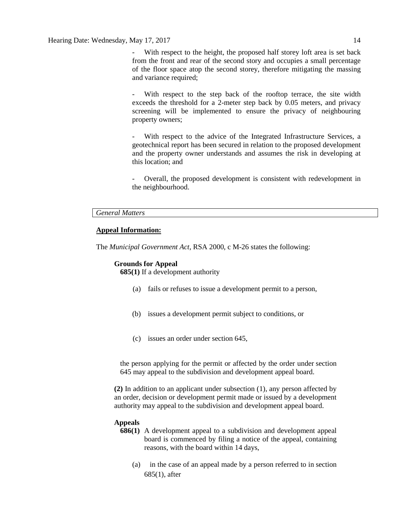With respect to the height, the proposed half storey loft area is set back from the front and rear of the second story and occupies a small percentage of the floor space atop the second storey, therefore mitigating the massing and variance required;

With respect to the step back of the rooftop terrace, the site width exceeds the threshold for a 2-meter step back by 0.05 meters, and privacy screening will be implemented to ensure the privacy of neighbouring property owners;

With respect to the advice of the Integrated Infrastructure Services, a geotechnical report has been secured in relation to the proposed development and the property owner understands and assumes the risk in developing at this location; and

- Overall, the proposed development is consistent with redevelopment in the neighbourhood.

## *General Matters*

# **Appeal Information:**

The *Municipal Government Act*, RSA 2000, c M-26 states the following:

## **Grounds for Appeal**

**685(1)** If a development authority

- (a) fails or refuses to issue a development permit to a person,
- (b) issues a development permit subject to conditions, or
- (c) issues an order under section 645,

the person applying for the permit or affected by the order under section 645 may appeal to the subdivision and development appeal board.

**(2)** In addition to an applicant under subsection (1), any person affected by an order, decision or development permit made or issued by a development authority may appeal to the subdivision and development appeal board.

# **Appeals**

- **686(1)** A development appeal to a subdivision and development appeal board is commenced by filing a notice of the appeal, containing reasons, with the board within 14 days,
	- (a) in the case of an appeal made by a person referred to in section 685(1), after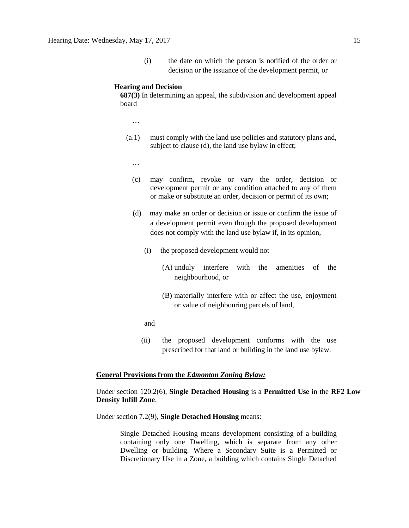(i) the date on which the person is notified of the order or decision or the issuance of the development permit, or

#### **Hearing and Decision**

**687(3)** In determining an appeal, the subdivision and development appeal board

- …
- (a.1) must comply with the land use policies and statutory plans and, subject to clause (d), the land use bylaw in effect;
	- …
	- (c) may confirm, revoke or vary the order, decision or development permit or any condition attached to any of them or make or substitute an order, decision or permit of its own;
	- (d) may make an order or decision or issue or confirm the issue of a development permit even though the proposed development does not comply with the land use bylaw if, in its opinion,
		- (i) the proposed development would not
			- (A) unduly interfere with the amenities of the neighbourhood, or
			- (B) materially interfere with or affect the use, enjoyment or value of neighbouring parcels of land,
		- and
		- (ii) the proposed development conforms with the use prescribed for that land or building in the land use bylaw.

#### **General Provisions from the** *Edmonton Zoning Bylaw:*

# Under section 120.2(6), **Single Detached Housing** is a **Permitted Use** in the **RF2 Low Density Infill Zone**.

Under section 7.2(9), **Single Detached Housing** means:

Single Detached Housing means development consisting of a building containing only one Dwelling, which is separate from any other Dwelling or building. Where a Secondary Suite is a Permitted or Discretionary Use in a Zone, a building which contains Single Detached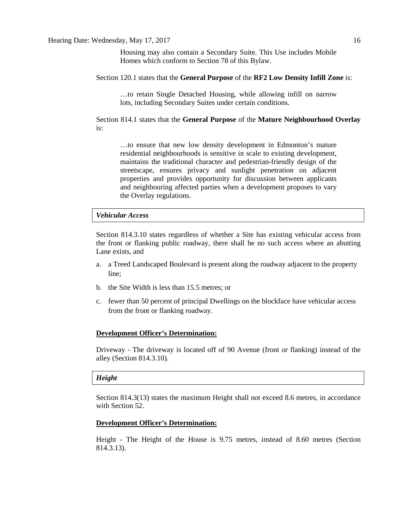Housing may also contain a Secondary Suite. This Use includes Mobile Homes which conform to Section 78 of this Bylaw.

Section 120.1 states that the **General Purpose** of the **RF2 Low Density Infill Zone** is:

…to retain Single Detached Housing, while allowing infill on narrow lots, including Secondary Suites under certain conditions.

Section 814.1 states that the **General Purpose** of the **Mature Neighbourhood Overlay**  is:

…to ensure that new low density development in Edmonton's mature residential neighbourhoods is sensitive in scale to existing development, maintains the traditional character and pedestrian-friendly design of the streetscape, ensures privacy and sunlight penetration on adjacent properties and provides opportunity for discussion between applicants and neighbouring affected parties when a development proposes to vary the Overlay regulations.

#### *Vehicular Access*

Section 814.3.10 states regardless of whether a Site has existing vehicular access from the front or flanking public roadway, there shall be no such access where an abutting Lane exists, and

- a. a Treed Landscaped Boulevard is present along the roadway adjacent to the property line;
- b. the Site Width is less than 15.5 metres; or
- c. fewer than 50 percent of principal Dwellings on the blockface have vehicular access from the front or flanking roadway.

#### **Development Officer's Determination:**

Driveway - The driveway is located off of 90 Avenue (front or flanking) instead of the alley (Section 814.3.10).

## *Height*

Section 814.3(13) states the maximum Height shall not exceed 8.6 metres, in accordance with Section 52.

# **Development Officer's Determination:**

Height - The Height of the House is 9.75 metres, instead of 8.60 metres (Section 814.3.13).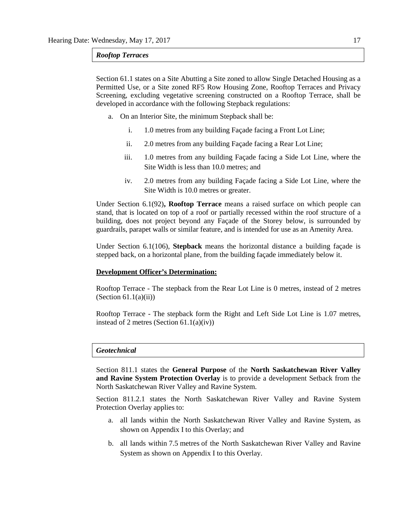#### *Rooftop Terraces*

Section 61.1 states on a Site Abutting a Site zoned to allow Single Detached Housing as a Permitted Use, or a Site zoned RF5 Row Housing Zone, Rooftop Terraces and Privacy Screening, excluding vegetative screening constructed on a Rooftop Terrace, shall be developed in accordance with the following Stepback regulations:

- a. On an Interior Site, the minimum Stepback shall be:
	- i. 1.0 metres from any building Façade facing a Front Lot Line;
	- ii. 2.0 metres from any building Façade facing a Rear Lot Line;
	- iii. 1.0 metres from any building Façade facing a Side Lot Line, where the Site Width is less than 10.0 metres; and
	- iv. 2.0 metres from any building Façade facing a Side Lot Line, where the Site Width is 10.0 metres or greater.

Under Section 6.1(92)**, Rooftop Terrace** means a raised surface on which people can stand, that is located on top of a roof or partially recessed within the roof structure of a building, does not project beyond any Façade of the Storey below, is surrounded by guardrails, parapet walls or similar feature, and is intended for use as an Amenity Area.

Under Section 6.1(106), **Stepback** means the horizontal distance a building façade is stepped back, on a horizontal plane, from the building façade immediately below it.

## **Development Officer's Determination:**

Rooftop Terrace - The stepback from the Rear Lot Line is 0 metres, instead of 2 metres  $(Section 61.1(a)(ii))$ 

Rooftop Terrace - The stepback form the Right and Left Side Lot Line is 1.07 metres, instead of 2 metres (Section 61.1(a)(iv))

#### *Geotechnical*

Section 811.1 states the **General Purpose** of the **North Saskatchewan River Valley and Ravine System Protection Overlay** is to provide a development Setback from the North Saskatchewan River Valley and Ravine System.

Section 811.2.1 states the North Saskatchewan River Valley and Ravine System Protection Overlay applies to:

- a. all lands within the North Saskatchewan River Valley and Ravine System, as shown on Appendix I to this Overlay; and
- b. all lands within [7.5](javascript:void(0);) metres of the North Saskatchewan River Valley and Ravine System as shown on Appendix I to this Overlay.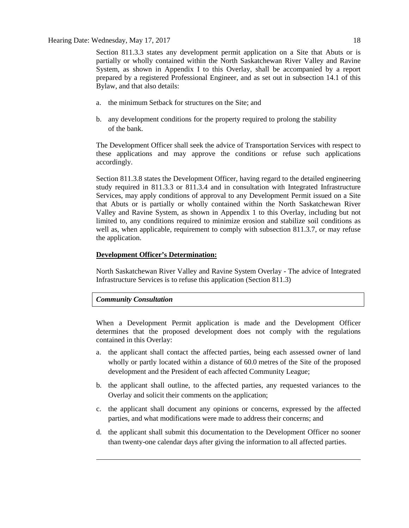Section 811.3.3 states any development permit application on a Site that Abuts or is partially or wholly contained within the North Saskatchewan River Valley and Ravine System, as shown in Appendix I to this Overlay, shall be accompanied by a report prepared by a registered Professional Engineer, and as set out in subsection 14.1 of this Bylaw, and that also details:

- a. the minimum Setback for structures on the Site; and
- b. any development conditions for the property required to prolong the stability of the bank.

The Development Officer shall seek the advice of Transportation Services with respect to these applications and may approve the conditions or refuse such applications accordingly.

Section 811.3.8 states the Development Officer, having regard to the detailed engineering study required in 811.3.3 or 811.3.4 and in consultation with Integrated Infrastructure Services, may apply conditions of approval to any Development Permit issued on a Site that Abuts or is partially or wholly contained within the North Saskatchewan River Valley and Ravine System, as shown in Appendix 1 to this Overlay, including but not limited to, any conditions required to minimize erosion and stabilize soil conditions as well as, when applicable, requirement to comply with subsection 811.3.7, or may refuse the application.

# **Development Officer's Determination:**

North Saskatchewan River Valley and Ravine System Overlay - The advice of Integrated Infrastructure Services is to refuse this application (Section 811.3)

# *Community Consultation*

When a Development Permit application is made and the Development Officer determines that the proposed development does not comply with the regulations contained in this Overlay:

- a. the applicant shall contact the affected parties, being each assessed owner of land wholly or partly located within a distance of 60.0 metres of the Site of the proposed development and the President of each affected Community League;
- b. the applicant shall outline, to the affected parties, any requested variances to the Overlay and solicit their comments on the application;
- c. the applicant shall document any opinions or concerns, expressed by the affected parties, and what modifications were made to address their concerns; and
- d. the applicant shall submit this documentation to the Development Officer no sooner than twenty-one calendar days after giving the information to all affected parties.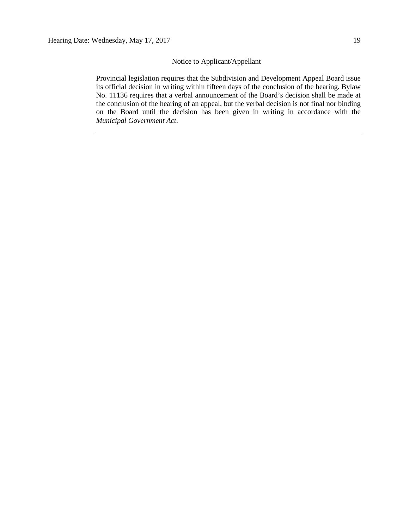# Notice to Applicant/Appellant

Provincial legislation requires that the Subdivision and Development Appeal Board issue its official decision in writing within fifteen days of the conclusion of the hearing. Bylaw No. 11136 requires that a verbal announcement of the Board's decision shall be made at the conclusion of the hearing of an appeal, but the verbal decision is not final nor binding on the Board until the decision has been given in writing in accordance with the *Municipal Government Act*.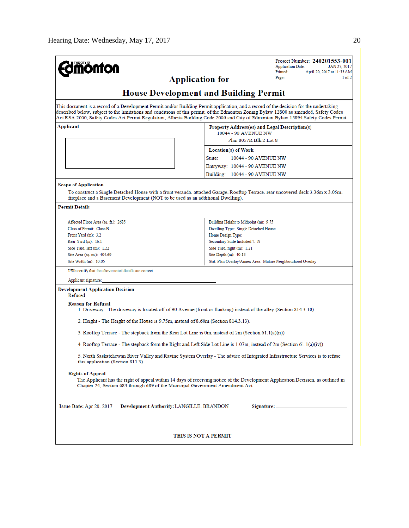|                                                                                                                                                                                                                                                                                                                                                                                                                       |                                                                                                 | Project Number: 240201553-001<br><b>Application Date:</b><br>JAN 27, 2017 |  |  |  |
|-----------------------------------------------------------------------------------------------------------------------------------------------------------------------------------------------------------------------------------------------------------------------------------------------------------------------------------------------------------------------------------------------------------------------|-------------------------------------------------------------------------------------------------|---------------------------------------------------------------------------|--|--|--|
| <b>nonton</b>                                                                                                                                                                                                                                                                                                                                                                                                         |                                                                                                 | Printed:<br>April 20, 2017 at 11:53 AM                                    |  |  |  |
| <b>Application for</b>                                                                                                                                                                                                                                                                                                                                                                                                |                                                                                                 | 1 of 2<br>Page:                                                           |  |  |  |
| <b>House Development and Building Permit</b>                                                                                                                                                                                                                                                                                                                                                                          |                                                                                                 |                                                                           |  |  |  |
| This document is a record of a Development Permit and/or Building Permit application, and a record of the decision for the undertaking<br>described below, subject to the limitations and conditions of this permit, of the Edmonton Zoning Bylaw 12800 as amended, Safety Codes<br>Act RSA 2000, Safety Codes Act Permit Regulation, Alberta Building Code 2006 and City of Edmonton Bylaw 15894 Safety Codes Permit |                                                                                                 |                                                                           |  |  |  |
| Applicant                                                                                                                                                                                                                                                                                                                                                                                                             | Property Address(es) and Legal Description(s)<br>10044 - 90 AVENUE NW<br>Plan 8057R Blk 2 Lot 8 |                                                                           |  |  |  |
|                                                                                                                                                                                                                                                                                                                                                                                                                       | Location(s) of Work                                                                             |                                                                           |  |  |  |
|                                                                                                                                                                                                                                                                                                                                                                                                                       | Suite:<br>10044 - 90 AVENUE NW                                                                  |                                                                           |  |  |  |
|                                                                                                                                                                                                                                                                                                                                                                                                                       | Entryway: 10044 - 90 AVENUE NW                                                                  |                                                                           |  |  |  |
|                                                                                                                                                                                                                                                                                                                                                                                                                       |                                                                                                 |                                                                           |  |  |  |
|                                                                                                                                                                                                                                                                                                                                                                                                                       | Building: 10044 - 90 AVENUE NW                                                                  |                                                                           |  |  |  |
| <b>Scope of Application</b><br>To construct a Single Detached House with a front veranda, attached Garage, Rooftop Terrace, rear uncovered deck 3.36m x 3.05m,<br>fireplace and a Basement Development (NOT to be used as an additional Dwelling).                                                                                                                                                                    |                                                                                                 |                                                                           |  |  |  |
| <b>Permit Details</b>                                                                                                                                                                                                                                                                                                                                                                                                 |                                                                                                 |                                                                           |  |  |  |
| Affected Floor Area (sq. ft.): 2685                                                                                                                                                                                                                                                                                                                                                                                   | Building Height to Midpoint (m): 9.75                                                           |                                                                           |  |  |  |
| Class of Permit: Class B                                                                                                                                                                                                                                                                                                                                                                                              | Dwelling Type: Single Detached House                                                            |                                                                           |  |  |  |
| Front Yard (m): 3.2                                                                                                                                                                                                                                                                                                                                                                                                   | Home Design Type:                                                                               |                                                                           |  |  |  |
| Rear Yard (m): 16.1                                                                                                                                                                                                                                                                                                                                                                                                   | Secondary Suite Included ?: N                                                                   |                                                                           |  |  |  |
| Side Yard, left (m): 1.22                                                                                                                                                                                                                                                                                                                                                                                             | Side Yard, right (m): 1.21                                                                      |                                                                           |  |  |  |
| Site Area (sq. m.): 404.69<br>Site Width (m): 10.05                                                                                                                                                                                                                                                                                                                                                                   | Site Depth (m): 40.13<br>Stat. Plan Overlay/Annex Area: Mature Neighbourhood Overlay            |                                                                           |  |  |  |
|                                                                                                                                                                                                                                                                                                                                                                                                                       |                                                                                                 |                                                                           |  |  |  |
| I/We certify that the above noted details are correct.<br>Applicant signature:                                                                                                                                                                                                                                                                                                                                        |                                                                                                 |                                                                           |  |  |  |
| <b>Development Application Decision</b>                                                                                                                                                                                                                                                                                                                                                                               |                                                                                                 |                                                                           |  |  |  |
| Refused                                                                                                                                                                                                                                                                                                                                                                                                               |                                                                                                 |                                                                           |  |  |  |
| <b>Reason for Refusal</b><br>1. Driveway - The driveway is located off of 90 Avenue (front or flanking) instead of the alley (Section 814.3.10).                                                                                                                                                                                                                                                                      |                                                                                                 |                                                                           |  |  |  |
| 2. Height - The Height of the House is 9.75m, instead of 8.60m (Section 814.3.13).                                                                                                                                                                                                                                                                                                                                    |                                                                                                 |                                                                           |  |  |  |
| 3. Rooftop Terrace - The stepback from the Rear Lot Line is 0m, instead of 2m (Section 61.1(a)(ii))                                                                                                                                                                                                                                                                                                                   |                                                                                                 |                                                                           |  |  |  |
| 4. Rooftop Terrace - The stepback form the Right and Left Side Lot Line is 1.07m, instead of 2m (Section 61.1(a)(iv))                                                                                                                                                                                                                                                                                                 |                                                                                                 |                                                                           |  |  |  |
| 5. North Saskatchewan River Valley and Ravine System Overlay - The advice of Integrated Infrastructure Services is to refuse<br>this application (Section 811.3)                                                                                                                                                                                                                                                      |                                                                                                 |                                                                           |  |  |  |
| <b>Rights of Appeal</b><br>The Applicant has the right of appeal within 14 days of receiving notice of the Development Application Decision, as outlined in<br>Chapter 24, Section 683 through 689 of the Municipal Government Amendment Act.                                                                                                                                                                         |                                                                                                 |                                                                           |  |  |  |
| Issue Date: Apr 20, 2017<br>Development Authority: LANGILLE, BRANDON                                                                                                                                                                                                                                                                                                                                                  |                                                                                                 |                                                                           |  |  |  |
| THIS IS NOT A PERMIT                                                                                                                                                                                                                                                                                                                                                                                                  |                                                                                                 |                                                                           |  |  |  |
|                                                                                                                                                                                                                                                                                                                                                                                                                       |                                                                                                 |                                                                           |  |  |  |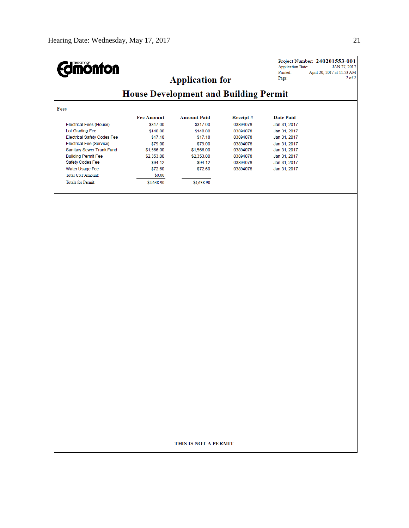| <b>dmönton</b>                     |                                              | <b>Application for</b> |          | <b>Application Date:</b><br>Printed:<br>Page: | Project Number: 240201553-001<br>JAN 27, 2017<br>April 20, 2017 at 11:53 AM<br>$2$ of $2$ |  |
|------------------------------------|----------------------------------------------|------------------------|----------|-----------------------------------------------|-------------------------------------------------------------------------------------------|--|
|                                    | <b>House Development and Building Permit</b> |                        |          |                                               |                                                                                           |  |
| Fees                               |                                              |                        |          |                                               |                                                                                           |  |
|                                    | <b>Fee Amount</b>                            | <b>Amount Paid</b>     | Receipt# | <b>Date Paid</b>                              |                                                                                           |  |
| Electrical Fees (House)            | \$317.00                                     | \$317.00               | 03894078 | Jan 31, 2017                                  |                                                                                           |  |
| Lot Grading Fee                    | \$140.00                                     | \$140.00               | 03894078 | Jan 31, 2017                                  |                                                                                           |  |
| <b>Electrical Safety Codes Fee</b> | \$17.18                                      | \$17.18                | 03894078 | Jan 31, 2017                                  |                                                                                           |  |
| Electrical Fee (Service)           | \$79.00                                      | \$79.00                | 03894078 | Jan 31, 2017                                  |                                                                                           |  |
| Sanitary Sewer Trunk Fund          | \$1,566.00                                   | \$1,566.00             | 03894078 | Jan 31, 2017                                  |                                                                                           |  |
| <b>Building Permit Fee</b>         | \$2,353.00                                   | \$2,353.00             | 03894078 | Jan 31, 2017                                  |                                                                                           |  |
| Safety Codes Fee                   | \$94.12                                      | \$94.12                | 03894078 | Jan 31, 2017                                  |                                                                                           |  |
| Water Usage Fee                    | \$72.60                                      | \$72.60                | 03894078 | Jan 31, 2017                                  |                                                                                           |  |
| <b>Total GST Amount:</b>           | \$0.00                                       |                        |          |                                               |                                                                                           |  |
| <b>Totals for Permit:</b>          | \$4,638.90                                   | \$4,638.90             |          |                                               |                                                                                           |  |
|                                    |                                              |                        |          |                                               |                                                                                           |  |
|                                    |                                              |                        |          |                                               |                                                                                           |  |
|                                    |                                              |                        |          |                                               |                                                                                           |  |
|                                    |                                              |                        |          |                                               |                                                                                           |  |
|                                    |                                              |                        |          |                                               |                                                                                           |  |
|                                    |                                              |                        |          |                                               |                                                                                           |  |
|                                    |                                              |                        |          |                                               |                                                                                           |  |
|                                    |                                              |                        |          |                                               |                                                                                           |  |
|                                    |                                              |                        |          |                                               |                                                                                           |  |
|                                    |                                              |                        |          |                                               |                                                                                           |  |
|                                    |                                              |                        |          |                                               |                                                                                           |  |
|                                    |                                              |                        |          |                                               |                                                                                           |  |
|                                    |                                              |                        |          |                                               |                                                                                           |  |
|                                    |                                              |                        |          |                                               |                                                                                           |  |
|                                    |                                              |                        |          |                                               |                                                                                           |  |
|                                    |                                              |                        |          |                                               |                                                                                           |  |
|                                    |                                              |                        |          |                                               |                                                                                           |  |
|                                    |                                              |                        |          |                                               |                                                                                           |  |
|                                    |                                              |                        |          |                                               |                                                                                           |  |
|                                    |                                              |                        |          |                                               |                                                                                           |  |
|                                    |                                              |                        |          |                                               |                                                                                           |  |
|                                    |                                              |                        |          |                                               |                                                                                           |  |
|                                    |                                              |                        |          |                                               |                                                                                           |  |
|                                    |                                              |                        |          |                                               |                                                                                           |  |
|                                    |                                              |                        |          |                                               |                                                                                           |  |
|                                    |                                              |                        |          |                                               |                                                                                           |  |
|                                    |                                              |                        |          |                                               |                                                                                           |  |
|                                    |                                              |                        |          |                                               |                                                                                           |  |
|                                    |                                              |                        |          |                                               |                                                                                           |  |
|                                    |                                              |                        |          |                                               |                                                                                           |  |
|                                    |                                              |                        |          |                                               |                                                                                           |  |
|                                    |                                              | THIS IS NOT A PERMIT   |          |                                               |                                                                                           |  |
|                                    |                                              |                        |          |                                               |                                                                                           |  |